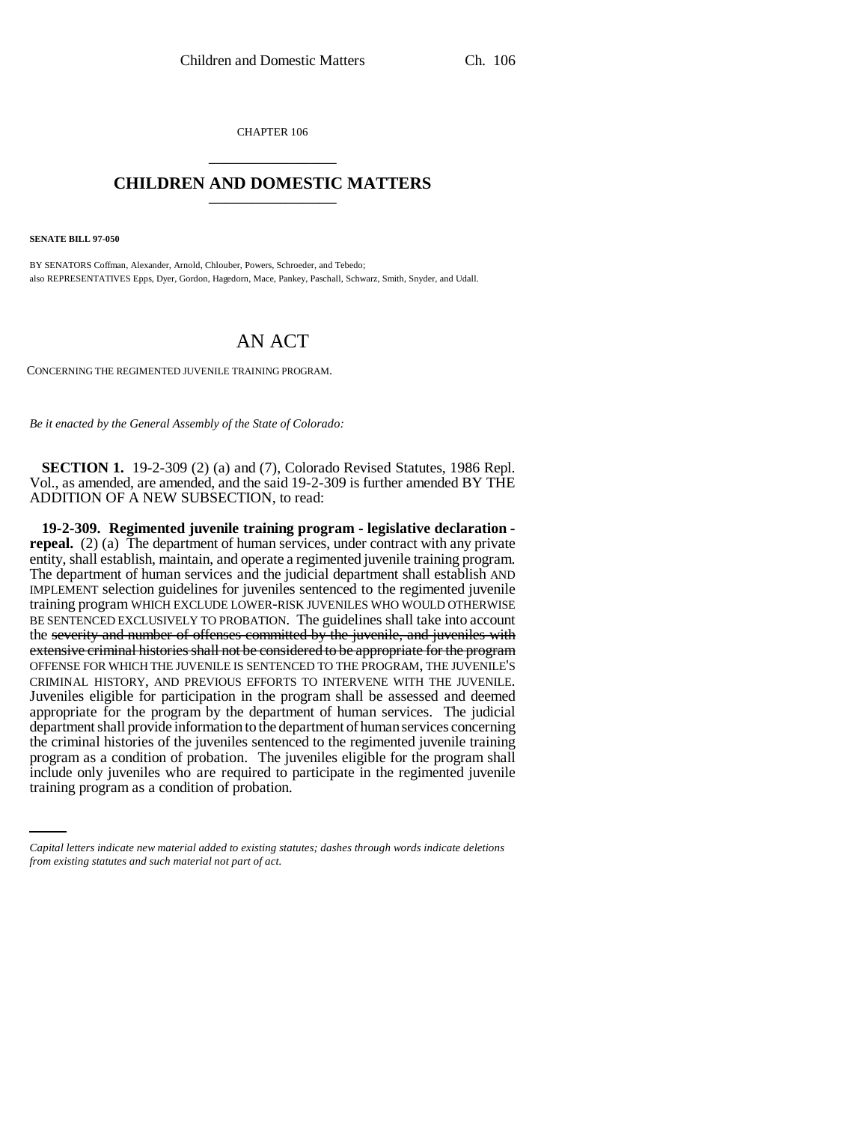CHAPTER 106 \_\_\_\_\_\_\_\_\_\_\_\_\_\_\_

## **CHILDREN AND DOMESTIC MATTERS** \_\_\_\_\_\_\_\_\_\_\_\_\_\_\_

**SENATE BILL 97-050**

BY SENATORS Coffman, Alexander, Arnold, Chlouber, Powers, Schroeder, and Tebedo; also REPRESENTATIVES Epps, Dyer, Gordon, Hagedorn, Mace, Pankey, Paschall, Schwarz, Smith, Snyder, and Udall.

## AN ACT

CONCERNING THE REGIMENTED JUVENILE TRAINING PROGRAM.

*Be it enacted by the General Assembly of the State of Colorado:*

**SECTION 1.** 19-2-309 (2) (a) and (7), Colorado Revised Statutes, 1986 Repl. Vol., as amended, are amended, and the said 19-2-309 is further amended BY THE ADDITION OF A NEW SUBSECTION, to read:

program as a condition of probation. The juveniles eligible for the program shall **19-2-309. Regimented juvenile training program - legislative declaration repeal.** (2) (a) The department of human services, under contract with any private entity, shall establish, maintain, and operate a regimented juvenile training program. The department of human services and the judicial department shall establish AND IMPLEMENT selection guidelines for juveniles sentenced to the regimented juvenile training program WHICH EXCLUDE LOWER-RISK JUVENILES WHO WOULD OTHERWISE BE SENTENCED EXCLUSIVELY TO PROBATION. The guidelines shall take into account the severity and number of offenses committed by the juvenile, and juveniles with extensive criminal histories shall not be considered to be appropriate for the program OFFENSE FOR WHICH THE JUVENILE IS SENTENCED TO THE PROGRAM, THE JUVENILE'S CRIMINAL HISTORY, AND PREVIOUS EFFORTS TO INTERVENE WITH THE JUVENILE. Juveniles eligible for participation in the program shall be assessed and deemed appropriate for the program by the department of human services. The judicial department shall provide information to the department of human services concerning the criminal histories of the juveniles sentenced to the regimented juvenile training include only juveniles who are required to participate in the regimented juvenile training program as a condition of probation.

*Capital letters indicate new material added to existing statutes; dashes through words indicate deletions from existing statutes and such material not part of act.*